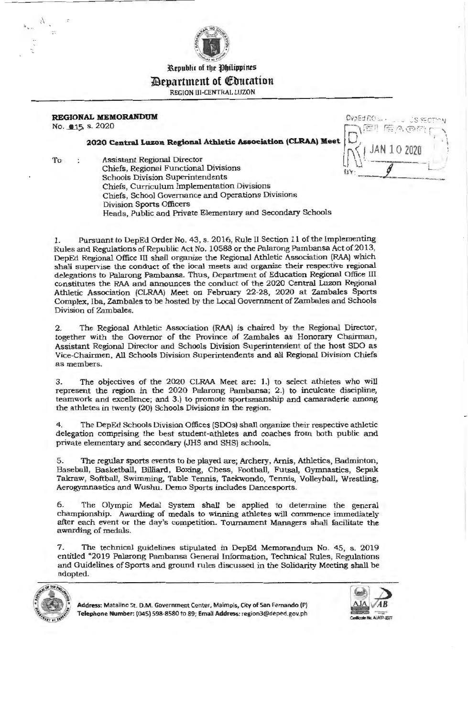

# *<u>Pepartment</u>* **of** *Coucation* REGION Ill-CENTRAL LUZON

## **REGIONAL MEMORANDUM Overland Contains the second of the second series of second series of second series**

No. **215** s. 2020

# $2020$ **EXECUTE CORANDUM**<br> **Central Luzon Regional Athletic Association (CLRAA) Meet**  $\begin{bmatrix} 0 \\ 0 \\ 0 \end{bmatrix}$  (EP FEA @ FEA )

To : Assistant Regional Director  $\iiint_{BY}$  - Chiefs, Regional Functional Divisions uv Chiefs, Regional Functional Divisions<br>Schools Division Superintendents <br>
Britain Chiefs, Chiefs, Chiefs, Chiefs, Chiefs, Chiefs, Chiefs, Chiefs, Chiefs, Chiefs, Chiefs, Chiefs, Chiefs, Chiefs, Chiefs, Chiefs, Chiefs, Chie Chiefs, Curriculum Implementation Divisions Chiefs, School Governance and Operations Divisions Division Sports Officers Heads, Public and Private Elementary and Secondary Schools

1. Pursuant to DepEd Order No. 43, s. 2016, Rule TI Section 11 of the Implementing Rules and Regulations of Republic Act No. 10588 or the Palarong Pambansa Act of 2013, DepEd Regional Office III shall organize the Regional Athletic Association (RAA) which shall supervise the conduct of the local meets and organize their respective regional delegations to Palarong Pambansa. Thus, Department of Education Regional Office ill constitutes the RAA and announces the conduct of the 2020 Central Luzon Regional Athletic Association (CLRAA) Meet on February 22-28, 2020 at Zambales Sports Complex, Iba, Zambales to be hosted by the Local Government of Zambales and Schools Division of Zambales.

2. The Regional Athletic Association (RAA) is chaired by the Regional Director, together with the Governor of the Province of Zambales as Honorary Chairman, Assistant Regional Director and Schools Division Superintendent of the host SDO as Vice-Chairmen, All Schools Division Superintendents and all Regional Division Chiefs as members.

3. The objectives of the 2020 CLRAA Meet are: 1.) to select athletes who will represent the region in the 2020 Palarong Pambansa; 2.) to inculcate discipline, teamwork and excellence; and 3.) to promote sportsmanship and camaraderie among the athletes in twenty (20) Schools Divisions in the region.

4. The DepEd Schools Division Offices (SDOs) shall organize their respective athletic delegation comprising the best student-athletes and coaches from both public and private elementary and secondary (JHS and SHS) schools.

5. The regular sports events to be played are; Archery, Amis, Athletics, Badminton, Baseball, Basketball, Billiard, Boxing, Chess, Football, Futsal, Gymnastics, Sepak Takraw, Softball, Swimming, Table Tennis, Taekwondo, Tennis, Volleyball, Wrestling, Aerogymnastics and Wushu. Demo Sports includes Dancesports.

6. The Olympic Medal System shall be applied to determine the general championship. Awarding of medals to winning athletes will commence immediately after each event or the day's competition. Tournament Managers shall facilitate the awarding of medals.

7. The technical guidelines stipulated in DepEd Memorandum No. 45, s. 2019 entitled "2019 Palarong Pambansa General Information, Technical Rules, Regulations and Guidelines of Sports and ground rules discussed in the Solidarity Meeting shall be adopted.



**Address:** Matalino St. O.M. Government Center, Maimpis, City of San Fernando (Pl Telephone Number: (045) 598-8580 to 89; Email Address: region3@deped.gov.ph **Control Control Region** He AIAI74

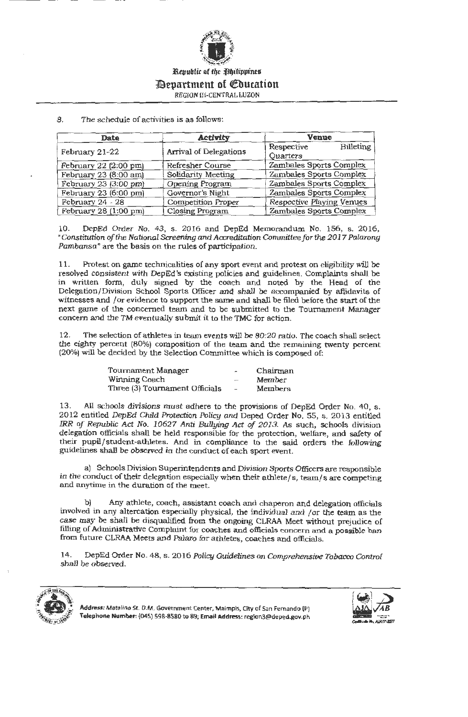

# 11Bepartment of Qfbucation

REGION III-CENTRAL LUZON

#### 8. The schedule of activities is as follows:

| Date                  | Activity                      | <b>Venue</b>                   |
|-----------------------|-------------------------------|--------------------------------|
|                       | <b>Arrival of Delegations</b> | <b>Billeting</b><br>Respective |
| February 21-22        |                               | Quarters                       |
| February 22 (2:00 pm) | Refresher Course              | Zambales Sports Complex        |
| February 23 (8:00 am) | Solidarity Meeting            | Zambales Sports Complex        |
| February 23 (3:00 pm) | Opening Program               | Zambales Sports Complex        |
| February 23 (6:00 pm) | Governor's Night              | Zambales Sports Complex        |
| February 24 - 28      | <b>Competition Proper</b>     | Respective Playing Venues      |
| February 28 (1:00 pm) | <b>Closing Program</b>        | Zambales Sports Complex        |

10. DepEd Order No. 43, s. 2016 and DepEd Memorandum No. 156, s. 2016, *"Constitution of the National Screening and Accreditation Committee for the 2017 Palarong Pambansa"* are the basis on the rules of participation.

11. Protest on game technicalities of any sport event and protest on eligibility will be resolved consistent with DepEd's existing policies and guidelines. Complaints shall be in written form, duly signed by the coach and noted by the Head of the Delegation/Division School Sports Officer and shall be accompanied by affidavits of witnesses and / or evidence to support the same and shall be filed before the start of the next game of the concerned team and to be submitted to the Tournament Manager concern and the TM eventually submit it to the TMC for action.

12. The selection of athletes in team events will be 80:20 ratio. The coach shall select the eighty percent (80%) composition of the team and the remaining twenty percent (20%) will be decided by the Selection Committee which is composed of:

| Tournament Manager             | w.                       | Chairman       |
|--------------------------------|--------------------------|----------------|
| Winning Coach                  |                          | Member         |
| Three (3) Tournament Officials | $\overline{\phantom{0}}$ | <b>Members</b> |

13. All schools divisions must adhere to the provisions of DepEd Order No. 40, s. 2012 entitled *DepEd Child Protection Policy* and Deped Order No. 55, s. 2013 entitled *IRR of Republic Act No. 10627 Anti Bullying Act of 2013.* As such, schools division delegation officials shall be held responsible for the protection, welfare, and safety of their pupil/ student-athletes. And in compliance to the said orders the following guidelines shall be observed in the conduct of each sport event.

a) Schools Division Superintendents and Division Sports Officers are responsible in the conduct of their delegation especially when their athlete/s, team/s are competing and anytime in the duration of the meet.

Any athlete, coach, assistant coach and chaperon and delegation officials involved in any altercation especially physical, the individual and / or the team as the case may be shall be disqualified from the ongoing CLRAA Meet without prejudice of filling of Administrative Complaint for coaches and officials concern and a possible ban from future CLRAA Meets and Palaro for athletes, coaches and officials.

14. DepEd Order No. 48, s. 2016 *Policy Guidelines on Comprehensive Tobacco Control*  shall be observed.



**Address:** Matalino St. D.M. Government Center, Maimpis, City of San Fernando (P) Telephone Number: (045) 598-8580 to 89; Email Address: region3@deped.gov.ph

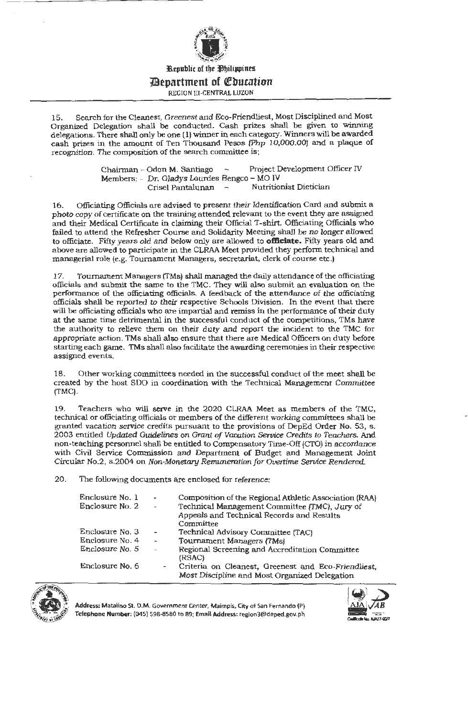

## **:;JBepartment of ~bucation**

REGION Ill-CENTRAL LUZON

15. Search for the Cleanest, Greenest and Eco-Friendliest, Most Disciplined and Most Organized Delegation shall be conducted. Cash prizes shall be given to winning delegations. There shall only be one (1) winner in each category. Winners will be awarded cash prizes in the amount of Ten Thousand Pesos (Php 10,000.00) and a plaque of recognition. The composition of the search committee is;

> Chairman - Odon M. Santiago - Project Development Officer IV Members: - Dr. Gladys Lourdes Bengco - MO IV Crisel Pantalunan -

16. Officiating Officials are advised to present their Identification Card and submit a photo copy of certificate on the training attended relevant to the event they are assigned and their Medical Certificate in claiming their Official T-shirt. Officiating Officials who failed to attend the Refresher Course and Solidarity Meeting shall be no longer allowed to officiate. Fifty years old and below only are allowed to **officiate.** Fifty years old and above are allowed to participate in the CLRM Meet provided they perform technical and managerial role (e.g. Tournament Managers, secretariat, clerk of course etc.)

17. Tournament Managers (TMs) shall managed the daily attendance of the officiating officials and submit the same to the TMC. They will also submit an evaluation on the performance of the officiating officials. A feedback of the attendance of the officiating officials shall be reported to their respective Schools Division. In the event that there will be officiating officials who are impartial and remiss in the performance of their duty at the same time detrimental in the successful conduct of the competitions, TMs have the authority to relieve them on their duty and report the incident to the TMC for appropriate action. TMs shall also ensure that there are Medical Officers on duty before starting each game. TMs shall also facilitate the awarding ceremonies in their respective assigned events.

18. Other working committees needed in the successful conduct of the meet shall be created by the host SDO in coordination with the Technical Management Committee (TMC).

19. Teachers who will serve in the 2020 CLRM Meet as members of the TMC, technical or officiating officials or members of the different working committees shall be granted vacation service credits pursuant to the provisions of DepEd Order No. 53, s. 2003 entitled Updated Guidelines on Grant of Vacation Service Credits *to* Teachers. And non-teaching personnel shall be entitled to Compensatory Time-Off (CTO) in accordance with Civil Service Commission and Department of Budget and Management Joint Circular No.2, s.2004 on Non-Monetary Remuneration for Overtime Service Rendered.

20. The following documents are enclosed for reference:

| Enclosure No. 1 | $\overline{\phantom{0}}$ | Composition of the Regional Athletic Association (RAA) |
|-----------------|--------------------------|--------------------------------------------------------|
| Enclosure No. 2 | $\sim$                   | Technical Management Committee (TMC), Jury of          |
|                 |                          | Appeals and Technical Records and Results              |
|                 |                          | Committee                                              |
| Enclosure No. 3 | $\overline{\phantom{a}}$ | Technical Advisory Committee (TAC)                     |
| Enclosure No. 4 | $\hat{\phantom{a}}$      | Tournament Managers (TMs)                              |
| Enclosure No. 5 | $\rightarrow$            | Regional Screening and Accreditation Committee         |
|                 |                          | (RSAC)                                                 |
| Enclosure No. 6 | $\overline{\phantom{a}}$ | Criteria on Cleanest, Greenest and Eco-Friendliest,    |
|                 |                          | Most Discipline and Most Organized Delegation          |



• **Address:** Matalino St. **D.M .** Government Center, Maimpis, City of San Fernando (P) **Telephone Number:** (045) 598-8580 to 89; **Email Address:** region3@deped.gov.ph

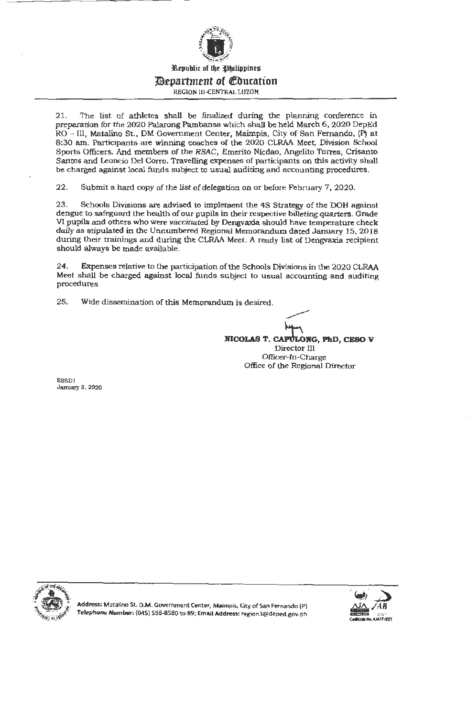

21. The list of athletes shall be finalized during the planning conference in preparation for the 2020 Palarong Pambansa which shall be held March 6, 2020 DepEd RO - III, Matalino St., DM Government Center, Maimpis, City of San Fernando, (P) at 8:30 am. Participants are winning coaches of the 2020 CLRAA Meet, Division School Sports Officers. And members of the RSAC, Emerito Nicdao, Angelito Torres, Crisanto Santos and Leoncio Del Corro. Travelling expenses of participants on this activity shall be charged against local funds subject to usual auditing and accounting procedures.

22. Submit a hard copy of the list of delegation on or before February 7, 2020.

23. Schools Divisions are advised to implement the 4S Strategy of the DOH against dengue to safeguard the health of our pupils in their respective billeting quarters. Grade VI pupils and others who were vaccinated by Dengvaxia should have temperature check daily as stipulated in the Unnumbered Regional Memorandum dated January 15, 2018 during their trainings and during the CLRM Meet. A ready list of Dengvaxia recipient should always be made available.

24. Expenses relative to the participation of the Schools Divisions in the 2020 CLRM Meet shall be charged against local funds subject to usual accounting and auditing procedures

25. Wide dissemination of this Memorandum is desired.

**NICOLAS T. CAPULONG, PhD, CESO V** Director III Officer-In-Charge Office of the Regional Director

ESSDl January 8, 2020



Address: Matalino St. D.M. Government Center, Maimpis, City of San Fernando (P)  $T$ elephone Number: (045) 598-8580 to 89; Email Address: region3@deped.gov.ph

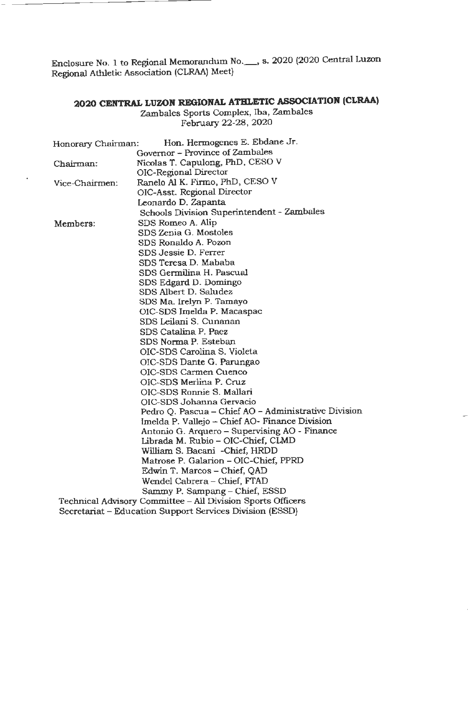Enclosure No. 1 to Regional Memorandum No.\_, s. 2020 (2020 Central Luzon Regional Athletic Association {CLRAA) Meet)

# **2020 CENTRAL LUZON REGIONAL ATHLETIC ASSOCIATION (CLRAA)**

Zambales Sports Complex, Iba, Zambales February 22-28, 2020

| Honorary Chairman:              | Hon. Hermogenes E. Ebdane Jr.                               |  |  |
|---------------------------------|-------------------------------------------------------------|--|--|
| Governor - Province of Zambales |                                                             |  |  |
| Chairman:                       | Nicolas T. Capulong, PhD, CESO V                            |  |  |
|                                 | OIC-Regional Director                                       |  |  |
| Vice-Chairmen:                  | Ranelo Al K. Firmo, PhD, CESO V                             |  |  |
|                                 | OIC-Asst. Regional Director                                 |  |  |
|                                 | Leonardo D. Zapanta                                         |  |  |
|                                 | Schools Division Superintendent - Zambales                  |  |  |
| Members:                        | SDS Romeo A. Alip                                           |  |  |
|                                 | SDS Zenia G. Mostoles                                       |  |  |
|                                 | SDS Ronaldo A. Pozon                                        |  |  |
|                                 | SDS Jessie D. Ferrer                                        |  |  |
|                                 | SDS Teresa D. Mababa                                        |  |  |
|                                 | SDS Germilina H. Pascual                                    |  |  |
|                                 | SDS Edgard D. Domingo                                       |  |  |
|                                 | SDS Albert D. Saludez                                       |  |  |
|                                 | SDS Ma. Irelyn P. Tamayo                                    |  |  |
|                                 | OIC-SDS Imelda P. Macaspac                                  |  |  |
|                                 | SDS Leilani S. Cunanan                                      |  |  |
|                                 | SDS Catalina P. Paez                                        |  |  |
|                                 | SDS Norma P. Esteban                                        |  |  |
|                                 | OIC-SDS Carolina S. Violeta                                 |  |  |
|                                 | OIC-SDS Dante G. Parungao                                   |  |  |
|                                 | OIC-SDS Carmen Cuenco                                       |  |  |
|                                 | OIC-SDS Merlina P. Cruz                                     |  |  |
|                                 | OIC-SDS Ronnie S. Mallari                                   |  |  |
|                                 | OIC-SDS Johanna Gervacio                                    |  |  |
|                                 | Pedro Q. Pascua - Chief AO - Administrative Division        |  |  |
|                                 | Imelda P. Vallejo - Chief AO- Finance Division              |  |  |
|                                 | Antonio G. Arquero - Supervising AO - Finance               |  |  |
|                                 | Librada M. Rubio - OIC-Chief, CLMD                          |  |  |
|                                 | William S. Bacani - Chief, HRDD                             |  |  |
|                                 | Matrose P. Galarion - OIC-Chief, PPRD                       |  |  |
|                                 | Edwin T. Marcos - Chief, QAD                                |  |  |
|                                 | Wendel Cabrera - Chief, FTAD                                |  |  |
|                                 | Sammy P. Sampang - Chief, ESSD                              |  |  |
|                                 | Technical Advisory Committee - All Division Sports Officers |  |  |
|                                 | Secretariat – Education Support Services Division (ESSD)    |  |  |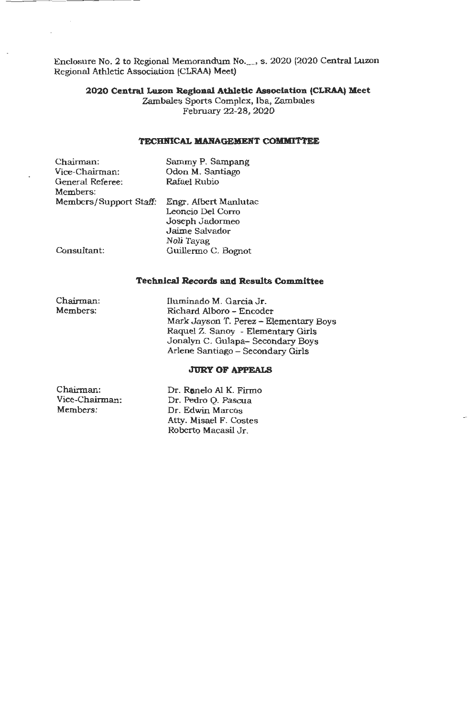Enclosure No. 2 to Regional Memorandum No.\_, s. 2020 (2020 Central Luzon Regional Athletic Association (CLRAA) Meet)

## **2020 Central Luzon Regional Athletic Association (CLRAA) Meet**

Zambales Sports Complex, Iba, Zambales February 22-28, 2020

#### **TECHNICAL MANAGEMENT COMMITTEE**

| Chairman:              | Sammy P. Sampang      |
|------------------------|-----------------------|
| Vice-Chairman:         | Odon M. Santiago      |
| General Referee:       | Rafael Rubio          |
| Members:               |                       |
| Members/Support Staff: | Engr. Albert Manlutac |
|                        | Leoncio Del Corro     |
|                        | Joseph Jadormeo       |
|                        | Jaime Salvador        |
|                        | Noli Tayag            |
| Consultant:            | Guillermo C. Bognot   |

#### **Technical Records and Results Committee**

Chairman: Members:

lluminado M. Garcia Jr. Rich ard Alboro - Encoder Mark Jayson T. Perez - Elementary Boys Raquel Z. Sanoy - Elementary Girls Jonalyn C. Gulapa- Secondary Boys Arlene Santiago - Secondary Girls

#### **JURY OF APPEALS**

Chairman: Vice-Chairman: Members:

Dr. Ronelo Al K. Firmo Dr. Pedro Q. Pascua Dr. Edwin Marcos Atty. Misael F. Costes Roberto Macasil Jr.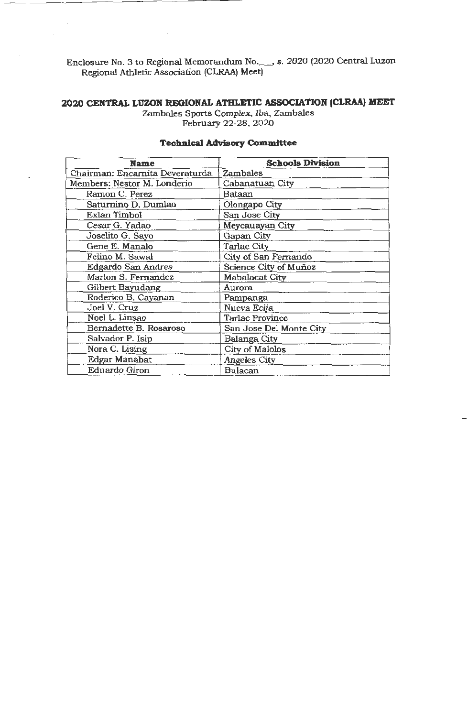Enclosure No. 3 to Regional Memorandum No.\_ , s. 2020 (2020 Central Luzon Region al Athletic Association (CLRAA) Meet)

# **2020 CENTRAL LUZON REGIONAL ATHLETIC ASSOCIATION (CLRAA) MEET**

Zambales Sports Complex, Iba, Zambales February 22-28, 2020

| <b>Name</b>                     | <b>Schools Division</b> |
|---------------------------------|-------------------------|
| Chairman: Encarnita Deveraturda | Zambales                |
| Members: Nestor M. Londerio     | Cabanatuan City         |
| Ramon C. Perez                  | Bataan                  |
| Saturnino D. Dumlao             | Olongapo City           |
| Exlan Timbol                    | San Jose City           |
| Cesar G. Yadao                  | Meycauayan City         |
| Joselito G. Sayo                | Gapan City              |
| Gene E. Manalo                  | <b>Tarlac City</b>      |
| Felino M. Sawal                 | City of San Fernando    |
| Edgardo San Andres              | Science City of Muñoz   |
| Marlon S. Fernandez             | Mabalacat City          |
| Gilbert Bayudang                | Aurora                  |
| Roderico B. Cayanan             | Pampanga                |
| Joel V. Cruz                    | Nueva Ecija             |
| Noel L. Linsao                  | <b>Tarlac Province</b>  |
| Bernadette B. Rosaroso          | San Jose Del Monte City |
| Salvador P. Isip                | Balanga City            |
| Nora C. Lising                  | City of Malolos         |
| Edgar Manabat                   | <b>Angeles City</b>     |
| Eduardo Giron                   | Bulacan                 |

## **Technical Advisory Committee**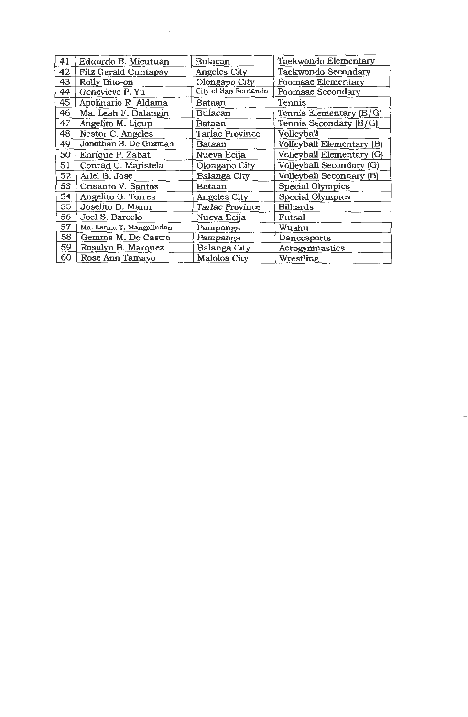| 41 | Eduardo B. Micutuan      | Bulacan                | Taekwondo Elementary      |
|----|--------------------------|------------------------|---------------------------|
| 42 | Fitz Gerald Cuntapay     | <b>Angeles City</b>    | Taekwondo Secondary       |
| 43 | Rolly Bito-on            | Olongapo City          | Poomsae Elementary        |
| 44 | Genevieve P. Yu          | City of San Fernando   | Poomsae Secondary         |
| 45 | Apolinario R. Aldama     | Bataan                 | Tennis                    |
| 46 | Ma. Leah F. Dalangin     | Bulacan                | Tennis Elementary (B/G)   |
| 47 | Angelito M. Licup        | Bataan                 | Tennis Secondary (B/G)    |
| 48 | Nestor C. Angeles        | Tarlac Province        | Volleyball                |
| 49 | Jonathan B. De Guzman    | <b>Bataan</b>          | Volleyball Elementary (B) |
| 50 | Enrique P. Zabat         | Nueva Ecija            | Volleyball Elementary (G) |
| 51 | Conrad C. Maristela      | Olongapo City          | Volleyball Secondary (G)  |
| 52 | Ariel B. Jose            | Balanga City           | Volleyball Secondary (B)  |
| 53 | Crisanto V. Santos       | Bataan                 | Special Olympics          |
| 54 | Angelito G. Torres       | Angeles City           | Special Olympics          |
| 55 | Joselito D. Maun         | <b>Tarlac Province</b> | <b>Billiards</b>          |
| 56 | Joel S. Barcelo          | Nueva Ecija            | Futsal                    |
| 57 | Ma. Lerma T. Mangalindan | Pampanga               | Wushu                     |
| 58 | Gemma M. De Castro       | Pampanga               | Dancesports               |
| 59 | Rosalyn B. Marquez       | Balanga City           | Aerogymnastics            |
| 60 | Rose Ann Tamayo          | <b>Malolos City</b>    | Wrestling                 |

 $\label{eq:2.1} \frac{1}{\sqrt{2}}\left(\frac{1}{\sqrt{2}}\right)^{2} \left(\frac{1}{\sqrt{2}}\right)^{2} \left(\frac{1}{\sqrt{2}}\right)^{2} \left(\frac{1}{\sqrt{2}}\right)^{2} \left(\frac{1}{\sqrt{2}}\right)^{2} \left(\frac{1}{\sqrt{2}}\right)^{2} \left(\frac{1}{\sqrt{2}}\right)^{2} \left(\frac{1}{\sqrt{2}}\right)^{2} \left(\frac{1}{\sqrt{2}}\right)^{2} \left(\frac{1}{\sqrt{2}}\right)^{2} \left(\frac{1}{\sqrt{2}}\right)^{2} \left(\$ 

 $\epsilon$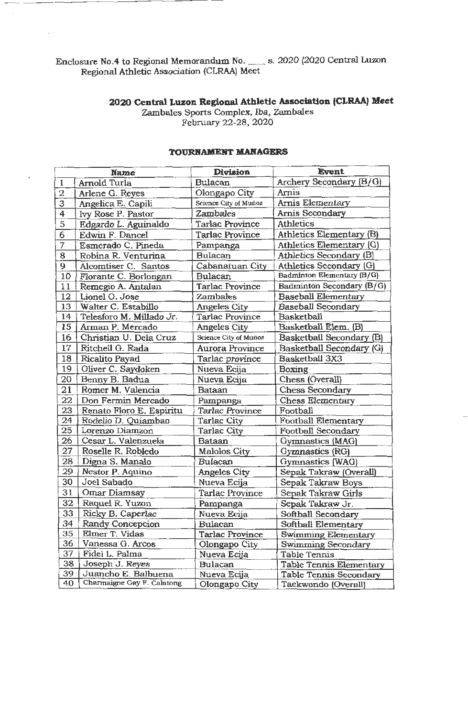Enclosure No.4 to Regional Memorandum No. \_\_ s. 2020 (2020 Central Luzon Regional Athletic Association (CLRAA) Meet

 $\sim$  .

# **2020 Central Luzon Regional Athletic Association (CLRAA) Meet**

Zambales Sports Complex, Iba, Zambales February 22-28, 2020

|                         | <b>Name</b>                | Division               | <b>Event</b>                  |
|-------------------------|----------------------------|------------------------|-------------------------------|
| $\mathbf{1}$            | Arnold Turla               | Bulacan                | Archery Secondary (B/G)       |
| $\overline{2}$          | Arlene G. Reyes            | Olongapo City          | Arnis                         |
| 3                       | Angelica E. Capili         | Science City of Muñoz  | Arnis Elementary              |
| $\overline{\mathbf{4}}$ | Ivy Rose P. Pastor         | Zambales               | <b>Arnis Secondary</b>        |
| $\overline{5}$          | Edgardo L. Aguinaldo       | <b>Tarlac Province</b> | <b>Athletics</b>              |
| 6                       | Edwin F. Dancel            | Tarlac Province        | Athletics Elementary (B)      |
| 7                       | Esmerado C. Pineda         | Pampanga               | Athletics Elementary (G)      |
| 8                       | Robina R. Venturina        | <b>Bulacan</b>         | Athletics Secondary (B)       |
| 9                       | Alcomtiser C. Santos       | Cabanatuan City        | Athletics Secondary (G)       |
| 10                      | Florante C. Borlongan      | Bulacan                | Badminton Elementary (B/G)    |
| 11                      | Remegio A. Antalan         | <b>Tarlac Province</b> | Badminton Secondary (B/G)     |
| 12                      | Lionel O. Jose             | Zambales               | <b>Baseball Elementary</b>    |
| 13                      | Walter C. Estabillo        | Angeles City           | <b>Baseball Secondary</b>     |
| 14                      | Telesforo M. Millado Jr.   | Tarlac Province        | Basketball                    |
| 15                      | Arman P. Mercado           | <b>Angeles City</b>    | Basketball Elem. (B)          |
| 16                      | Christian U. Dela Cruz     | Science City of Muūoz  | Basketball Secondary (B)      |
| 17                      | Ritchell G. Rada           | Aurora Province        | Basketball Secondary (G)      |
| 18                      | <b>Ricalito Payad</b>      | Tarlac province        | Basketball 3X3                |
| 19                      | Oliver C. Saydoken         | Nueva Ecija            | <b>Boxing</b>                 |
| 20                      | Benny B. Badua             | Nueva Ecija            | Chess (Overall)               |
| 21                      | Romer M. Valencia          | Bataan                 | <b>Chess Secondary</b>        |
| 22                      | Don Fermin Mercado         | Pampanga               | Chess Elementary              |
| 23                      | Renato Floro E. Espiritu   | <b>Tarlac Province</b> | Football                      |
| 24                      | Rodelio D. Quiambao        | Tarlac City            | <b>Football Elementary</b>    |
| 25                      | Lorenzo Diamzon            | <b>Tarlac City</b>     | Football Secondary            |
| 26                      | Cesar L. Valenzuela        | <b>Bataan</b>          | Gymnastics (MAG)              |
| 27                      | Roselle R. Robledo         | <b>Malolos City</b>    | Gymnastics (RG)               |
| 28                      | Digna S. Manalo            | <b>Bulacan</b>         | Gymnastics (WAG)              |
| 29                      | Nestor P. Aquino           | <b>Angeles City</b>    | Sepak Takraw (Overall)        |
| 30                      | Joel Sabado                | Nueva Ecija            | Sepak Takraw Boys             |
| 31                      | Omar Diamsay               | Tarlac Province        | Sepak Takraw Girls            |
| 32                      | Raquel R. Yuzon            | Pampanga               | Sepak Takraw Jr.              |
| 33                      | Ricky B. Caperlac          | Nueva Ecija            | Softball Secondary            |
| 34                      | Randy Concepcion           | <b>Bulacan</b>         | Softball Elementary           |
| 35                      | Elmer T. Vidas             | Tarlac Province        | Swimming Elementary           |
| 36                      | Vanessa G. Arcos           | Olongapo City          | Swimming Secondary            |
| 37                      | Fidel L. Palma             | Nueva Ecija            | Table Tennis                  |
| 38                      | Joseph J. Reyes            | <b>Bulacan</b>         | Table Tennis Elementary       |
| 39                      | Juancho E. Balbuena        | Nueva Ecija            | <b>Table Tennis Secondary</b> |
| 40                      | Charmaigne Gay F. Calatong | Olongapo City          | Taekwondo (Overall)           |

## **TOURNAMENT MANAGERS**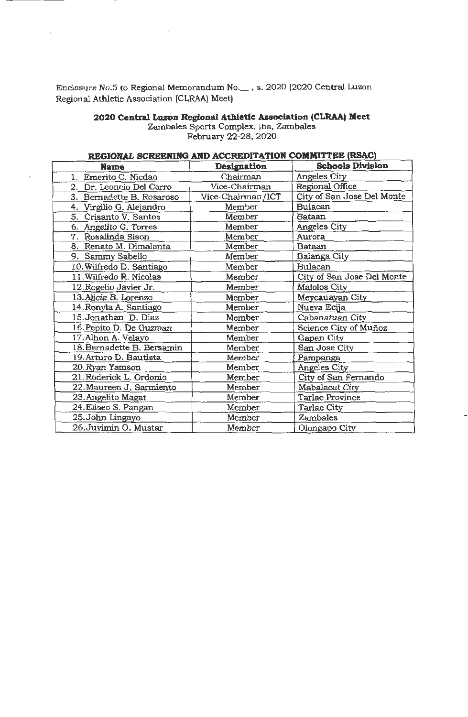Enclosure No.5 to Regional Memorandum No.\_, s. 2020 (2020 Central Luzon Regional Athletic Association (CLRAA) Meet)

## **2020 Central Luzon Regional Athletic Association (CLRAA) Meet**

Zambales Sports Complex, Iba, Zambales February 22-28, 2020

# **REGIONAL SCREENING AND ACCREDITATION COMMITTEE (RSAC)**

| <b>Name</b>                  | Designation       | <b>Schools Division</b>    |
|------------------------------|-------------------|----------------------------|
| Emerito C. Nicdao<br>1.      | Chairman          | Angeles City               |
| Dr. Leoncio Del Corro<br>2.  | Vice-Chairman     | Regional Office            |
| 3.<br>Bernadette B. Rosaroso | Vice-Chairman/ICT | City of San Jose Del Monte |
| Virgilio G. Alejandro<br>4.  | Member            | <b>Bulacan</b>             |
| 5.<br>Crisanto V. Santos     | Member            | Bataan                     |
| Angelito G. Torres<br>6.     | Member            | Angeles City               |
| Rosalinda Sison<br>7.        | Member            | Aurora                     |
| 8. Renato M. Dimalanta       | Member            | <b>Bataan</b>              |
| 9. Sammy Sabello             | Member            | Balanga City               |
| 10. Wilfredo D. Santiago     | Member            | Bulacan                    |
| 11. Wilfredo R. Nicolas      | Member            | City of San Jose Del Monte |
| 12. Rogelio Javier Jr.       | Member            | Malolos City               |
| 13. Alicia B. Lorenzo        | Member            | Meycauayan City            |
| 14. Ronyla A. Santiago       | Member            | Nueva Ecija                |
| 15.Jonathan D. Diaz          | Member            | Cabanatuan City            |
| 16. Pepito D. De Guzman      | Member            | Science City of Muñoz      |
| 17. Alhon A. Velayo          | Member            | Gapan City                 |
| 18. Bernadette B. Bersamin   | Member            | San Jose City              |
| 19. Arturo D. Bautista       | Member            | Pampanga                   |
| 20. Ryan Yamson              | Member            | Angeles City               |
| 21. Roderick L. Ordonio      | Member            | City of San Fernando       |
| 22. Maureen J. Sarmiento     | Member            | Mabalacat City             |
| 23. Angelito Magat           | Member            | <b>Tarlac Province</b>     |
| 24. Eliseo S. Pangan         | Member            | Tarlac City                |
| 25. John Lingayo             | Member            | <b>Zambales</b>            |
| 26.Juvimin O. Mustar         | Member            | Olongapo City              |